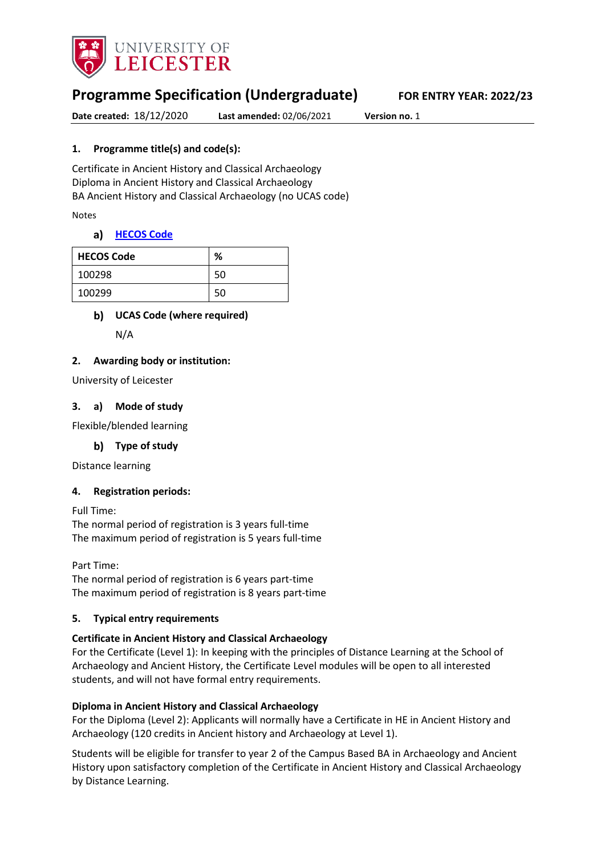

# **Programme Specification (Undergraduate) FOR ENTRY YEAR: 2022/23**

**Date created:** 18/12/2020 **Last amended:** 02/06/2021 **Version no.** 1

### **1. Programme title(s) and code(s):**

Certificate in Ancient History and Classical Archaeology Diploma in Ancient History and Classical Archaeology BA Ancient History and Classical Archaeology (no UCAS code)

Notes

#### **[HECOS Code](https://www.hesa.ac.uk/innovation/hecos)**

| <b>HECOS Code</b> | %  |
|-------------------|----|
| 100298            | 50 |
| 100299            | 50 |

### **UCAS Code (where required)**

N/A

#### **2. Awarding body or institution:**

University of Leicester

#### **3. a) Mode of study**

Flexible/blended learning

**Type of study**

Distance learning

#### **4. Registration periods:**

Full Time: The normal period of registration is 3 years full-time The maximum period of registration is 5 years full-time

Part Time: The normal period of registration is 6 years part-time The maximum period of registration is 8 years part-time

#### **5. Typical entry requirements**

#### **Certificate in Ancient History and Classical Archaeology**

For the Certificate (Level 1): In keeping with the principles of Distance Learning at the School of Archaeology and Ancient History, the Certificate Level modules will be open to all interested students, and will not have formal entry requirements.

#### **Diploma in Ancient History and Classical Archaeology**

For the Diploma (Level 2): Applicants will normally have a Certificate in HE in Ancient History and Archaeology (120 credits in Ancient history and Archaeology at Level 1).

Students will be eligible for transfer to year 2 of the Campus Based BA in Archaeology and Ancient History upon satisfactory completion of the Certificate in Ancient History and Classical Archaeology by Distance Learning.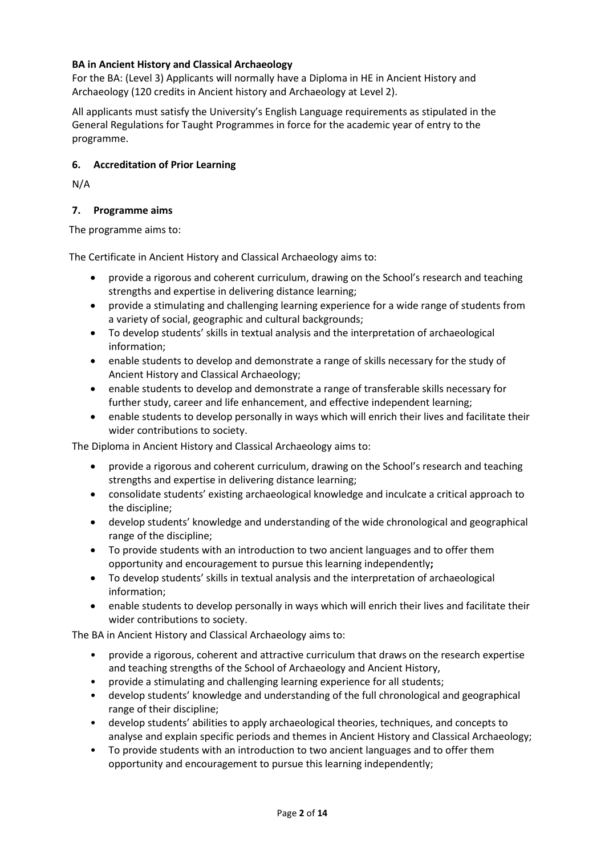### **BA in Ancient History and Classical Archaeology**

For the BA: (Level 3) Applicants will normally have a Diploma in HE in Ancient History and Archaeology (120 credits in Ancient history and Archaeology at Level 2).

All applicants must satisfy the University's English Language requirements as stipulated in the General Regulations for Taught Programmes in force for the academic year of entry to the programme.

### **6. Accreditation of Prior Learning**

N/A

## **7. Programme aims**

The programme aims to:

The Certificate in Ancient History and Classical Archaeology aims to:

- provide a rigorous and coherent curriculum, drawing on the School's research and teaching strengths and expertise in delivering distance learning;
- provide a stimulating and challenging learning experience for a wide range of students from a variety of social, geographic and cultural backgrounds;
- To develop students' skills in textual analysis and the interpretation of archaeological information;
- enable students to develop and demonstrate a range of skills necessary for the study of Ancient History and Classical Archaeology;
- enable students to develop and demonstrate a range of transferable skills necessary for further study, career and life enhancement, and effective independent learning;
- enable students to develop personally in ways which will enrich their lives and facilitate their wider contributions to society.

The Diploma in Ancient History and Classical Archaeology aims to:

- provide a rigorous and coherent curriculum, drawing on the School's research and teaching strengths and expertise in delivering distance learning;
- consolidate students' existing archaeological knowledge and inculcate a critical approach to the discipline;
- develop students' knowledge and understanding of the wide chronological and geographical range of the discipline;
- To provide students with an introduction to two ancient languages and to offer them opportunity and encouragement to pursue this learning independently**;**
- To develop students' skills in textual analysis and the interpretation of archaeological information;
- enable students to develop personally in ways which will enrich their lives and facilitate their wider contributions to society.

The BA in Ancient History and Classical Archaeology aims to:

- provide a rigorous, coherent and attractive curriculum that draws on the research expertise and teaching strengths of the School of Archaeology and Ancient History,
- provide a stimulating and challenging learning experience for all students;
- develop students' knowledge and understanding of the full chronological and geographical range of their discipline;
- develop students' abilities to apply archaeological theories, techniques, and concepts to analyse and explain specific periods and themes in Ancient History and Classical Archaeology;
- To provide students with an introduction to two ancient languages and to offer them opportunity and encouragement to pursue this learning independently;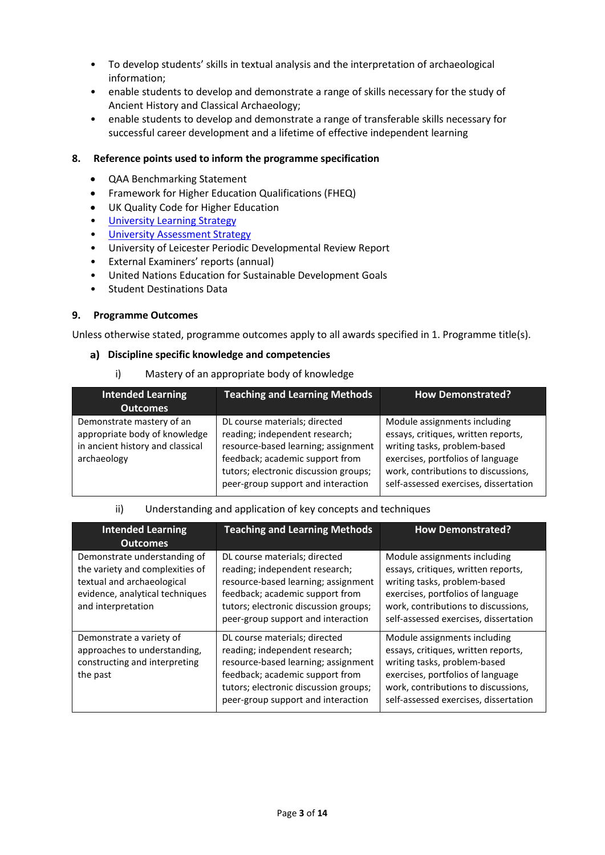- To develop students' skills in textual analysis and the interpretation of archaeological information;
- enable students to develop and demonstrate a range of skills necessary for the study of Ancient History and Classical Archaeology;
- enable students to develop and demonstrate a range of transferable skills necessary for successful career development and a lifetime of effective independent learning

### **8. Reference points used to inform the programme specification**

- QAA Benchmarking Statement
- Framework for Higher Education Qualifications (FHEQ)
- UK Quality Code for Higher Education
- University Learnin[g Strategy](https://www2.le.ac.uk/offices/sas2/quality/learnteach)
- [University Assessment Strategy](https://www2.le.ac.uk/offices/sas2/quality/learnteach)
- University of Leicester Periodic Developmental Review Report
- External Examiners' reports (annual)
- United Nations Education for Sustainable Development Goals
- Student Destinations Data

#### **9. Programme Outcomes**

Unless otherwise stated, programme outcomes apply to all awards specified in 1. Programme title(s).

#### **Discipline specific knowledge and competencies**

i) Mastery of an appropriate body of knowledge

| <b>Intended Learning</b><br><b>Outcomes</b>                                                                   | <b>Teaching and Learning Methods</b>                                                                                                                                                                                     | <b>How Demonstrated?</b>                                                                                                                                                                                                 |
|---------------------------------------------------------------------------------------------------------------|--------------------------------------------------------------------------------------------------------------------------------------------------------------------------------------------------------------------------|--------------------------------------------------------------------------------------------------------------------------------------------------------------------------------------------------------------------------|
| Demonstrate mastery of an<br>appropriate body of knowledge<br>in ancient history and classical<br>archaeology | DL course materials; directed<br>reading; independent research;<br>resource-based learning; assignment<br>feedback; academic support from<br>tutors; electronic discussion groups;<br>peer-group support and interaction | Module assignments including<br>essays, critiques, written reports,<br>writing tasks, problem-based<br>exercises, portfolios of language<br>work, contributions to discussions,<br>self-assessed exercises, dissertation |

#### ii) Understanding and application of key concepts and techniques

| <b>Intended Learning</b><br><b>Outcomes</b>                                                                                                            | <b>Teaching and Learning Methods</b>                                                                                                                                                                                     | <b>How Demonstrated?</b>                                                                                                                                                                                                 |
|--------------------------------------------------------------------------------------------------------------------------------------------------------|--------------------------------------------------------------------------------------------------------------------------------------------------------------------------------------------------------------------------|--------------------------------------------------------------------------------------------------------------------------------------------------------------------------------------------------------------------------|
| Demonstrate understanding of<br>the variety and complexities of<br>textual and archaeological<br>evidence, analytical techniques<br>and interpretation | DL course materials; directed<br>reading; independent research;<br>resource-based learning; assignment<br>feedback; academic support from<br>tutors; electronic discussion groups;<br>peer-group support and interaction | Module assignments including<br>essays, critiques, written reports,<br>writing tasks, problem-based<br>exercises, portfolios of language<br>work, contributions to discussions,<br>self-assessed exercises, dissertation |
| Demonstrate a variety of<br>approaches to understanding,<br>constructing and interpreting<br>the past                                                  | DL course materials; directed<br>reading; independent research;<br>resource-based learning; assignment<br>feedback; academic support from<br>tutors; electronic discussion groups;<br>peer-group support and interaction | Module assignments including<br>essays, critiques, written reports,<br>writing tasks, problem-based<br>exercises, portfolios of language<br>work, contributions to discussions,<br>self-assessed exercises, dissertation |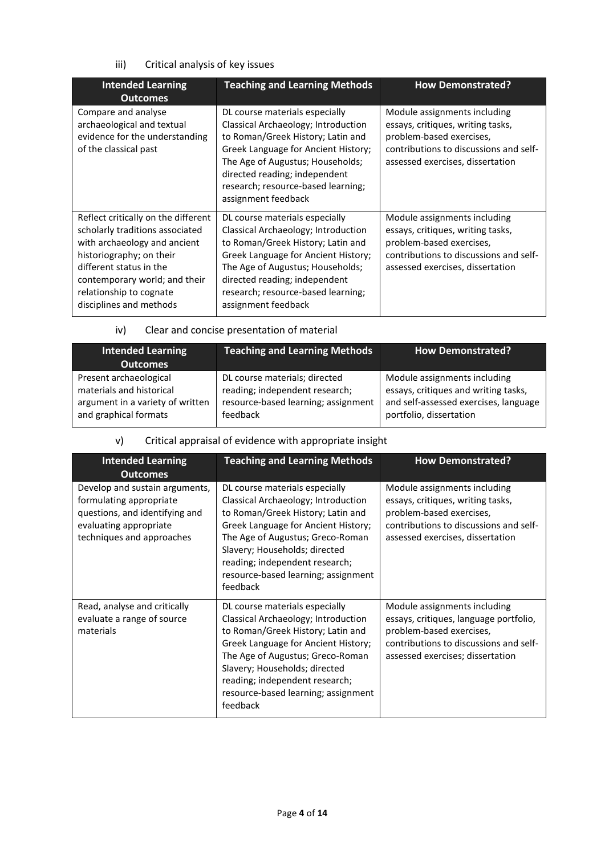# iii) Critical analysis of key issues

| <b>Intended Learning</b><br><b>Outcomes</b>                                                                                                                                                                                                          | <b>Teaching and Learning Methods</b>                                                                                                                                                                                                                                                | <b>How Demonstrated?</b>                                                                                                                                                    |
|------------------------------------------------------------------------------------------------------------------------------------------------------------------------------------------------------------------------------------------------------|-------------------------------------------------------------------------------------------------------------------------------------------------------------------------------------------------------------------------------------------------------------------------------------|-----------------------------------------------------------------------------------------------------------------------------------------------------------------------------|
| Compare and analyse<br>archaeological and textual<br>evidence for the understanding<br>of the classical past                                                                                                                                         | DL course materials especially<br>Classical Archaeology; Introduction<br>to Roman/Greek History; Latin and<br>Greek Language for Ancient History;<br>The Age of Augustus; Households;<br>directed reading; independent<br>research; resource-based learning;<br>assignment feedback | Module assignments including<br>essays, critiques, writing tasks,<br>problem-based exercises,<br>contributions to discussions and self-<br>assessed exercises, dissertation |
| Reflect critically on the different<br>scholarly traditions associated<br>with archaeology and ancient<br>historiography; on their<br>different status in the<br>contemporary world; and their<br>relationship to cognate<br>disciplines and methods | DL course materials especially<br>Classical Archaeology; Introduction<br>to Roman/Greek History; Latin and<br>Greek Language for Ancient History;<br>The Age of Augustus; Households;<br>directed reading; independent<br>research; resource-based learning;<br>assignment feedback | Module assignments including<br>essays, critiques, writing tasks,<br>problem-based exercises,<br>contributions to discussions and self-<br>assessed exercises, dissertation |

# iv) Clear and concise presentation of material

| <b>Intended Learning</b><br><b>Outcomes</b> | <b>Teaching and Learning Methods</b> | <b>How Demonstrated?</b>              |
|---------------------------------------------|--------------------------------------|---------------------------------------|
| Present archaeological                      | DL course materials; directed        | Module assignments including          |
| materials and historical                    | reading; independent research;       | essays, critiques and writing tasks,  |
| argument in a variety of written            | resource-based learning; assignment  | and self-assessed exercises, language |
| and graphical formats                       | feedback                             | portfolio, dissertation               |

# v) Critical appraisal of evidence with appropriate insight

| <b>Intended Learning</b><br><b>Outcomes</b>                                                                                                        | <b>Teaching and Learning Methods</b>                                                                                                                                                                                                                                                                        | <b>How Demonstrated?</b>                                                                                                                                                         |
|----------------------------------------------------------------------------------------------------------------------------------------------------|-------------------------------------------------------------------------------------------------------------------------------------------------------------------------------------------------------------------------------------------------------------------------------------------------------------|----------------------------------------------------------------------------------------------------------------------------------------------------------------------------------|
| Develop and sustain arguments,<br>formulating appropriate<br>questions, and identifying and<br>evaluating appropriate<br>techniques and approaches | DL course materials especially<br>Classical Archaeology; Introduction<br>to Roman/Greek History; Latin and<br>Greek Language for Ancient History;<br>The Age of Augustus; Greco-Roman<br>Slavery; Households; directed<br>reading; independent research;<br>resource-based learning; assignment<br>feedback | Module assignments including<br>essays, critiques, writing tasks,<br>problem-based exercises,<br>contributions to discussions and self-<br>assessed exercises, dissertation      |
| Read, analyse and critically<br>evaluate a range of source<br>materials                                                                            | DL course materials especially<br>Classical Archaeology; Introduction<br>to Roman/Greek History; Latin and<br>Greek Language for Ancient History;<br>The Age of Augustus; Greco-Roman<br>Slavery; Households; directed<br>reading; independent research;<br>resource-based learning; assignment<br>feedback | Module assignments including<br>essays, critiques, language portfolio,<br>problem-based exercises,<br>contributions to discussions and self-<br>assessed exercises; dissertation |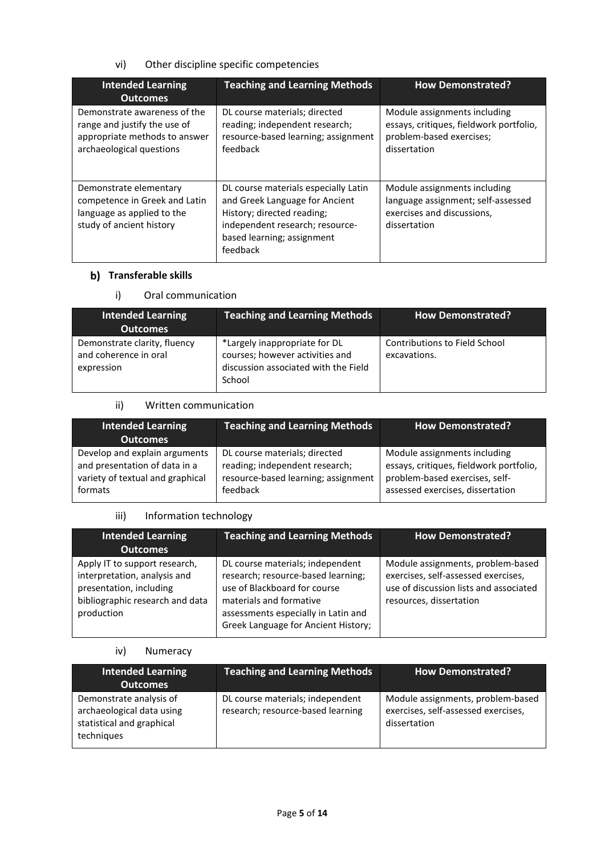### vi) Other discipline specific competencies

| <b>Intended Learning</b><br><b>Outcomes</b>                                                                               | <b>Teaching and Learning Methods</b>                                                                                                                                              | <b>How Demonstrated?</b>                                                                                            |
|---------------------------------------------------------------------------------------------------------------------------|-----------------------------------------------------------------------------------------------------------------------------------------------------------------------------------|---------------------------------------------------------------------------------------------------------------------|
| Demonstrate awareness of the<br>range and justify the use of<br>appropriate methods to answer<br>archaeological questions | DL course materials; directed<br>reading; independent research;<br>resource-based learning; assignment<br>feedback                                                                | Module assignments including<br>essays, critiques, fieldwork portfolio,<br>problem-based exercises;<br>dissertation |
| Demonstrate elementary<br>competence in Greek and Latin<br>language as applied to the<br>study of ancient history         | DL course materials especially Latin<br>and Greek Language for Ancient<br>History; directed reading;<br>independent research; resource-<br>based learning; assignment<br>feedback | Module assignments including<br>language assignment; self-assessed<br>exercises and discussions,<br>dissertation    |

# **Transferable skills**

### i) Oral communication

| <b>Intended Learning</b><br><b>Outcomes</b>                         | <b>Teaching and Learning Methods</b>                                                                               | <b>How Demonstrated?</b>                      |
|---------------------------------------------------------------------|--------------------------------------------------------------------------------------------------------------------|-----------------------------------------------|
| Demonstrate clarity, fluency<br>and coherence in oral<br>expression | *Largely inappropriate for DL<br>courses; however activities and<br>discussion associated with the Field<br>School | Contributions to Field School<br>excavations. |

#### ii) Written communication

| <b>Intended Learning</b><br><b>Outcomes</b> | <b>Teaching and Learning Methods</b> | <b>How Demonstrated?</b>                |
|---------------------------------------------|--------------------------------------|-----------------------------------------|
| Develop and explain arguments               | DL course materials; directed        | Module assignments including            |
| and presentation of data in a               | reading; independent research;       | essays, critiques, fieldwork portfolio, |
| variety of textual and graphical            | resource-based learning; assignment  | problem-based exercises, self-          |
| formats                                     | feedback                             | assessed exercises, dissertation        |

#### iii) Information technology

| <b>Intended Learning</b><br><b>Outcomes</b>                                                                                               | <b>Teaching and Learning Methods</b>                                                                                                                                                                            | <b>How Demonstrated?</b>                                                                                                                      |
|-------------------------------------------------------------------------------------------------------------------------------------------|-----------------------------------------------------------------------------------------------------------------------------------------------------------------------------------------------------------------|-----------------------------------------------------------------------------------------------------------------------------------------------|
| Apply IT to support research,<br>interpretation, analysis and<br>presentation, including<br>bibliographic research and data<br>production | DL course materials; independent<br>research; resource-based learning;<br>use of Blackboard for course<br>materials and formative<br>assessments especially in Latin and<br>Greek Language for Ancient History; | Module assignments, problem-based<br>exercises, self-assessed exercises,<br>use of discussion lists and associated<br>resources, dissertation |

### iv) Numeracy

| <b>Intended Learning</b><br><b>Outcomes</b>                                                     | <b>Teaching and Learning Methods</b>                                  | <b>How Demonstrated?</b>                                                                 |
|-------------------------------------------------------------------------------------------------|-----------------------------------------------------------------------|------------------------------------------------------------------------------------------|
| Demonstrate analysis of<br>archaeological data using<br>statistical and graphical<br>techniques | DL course materials; independent<br>research; resource-based learning | Module assignments, problem-based<br>exercises, self-assessed exercises,<br>dissertation |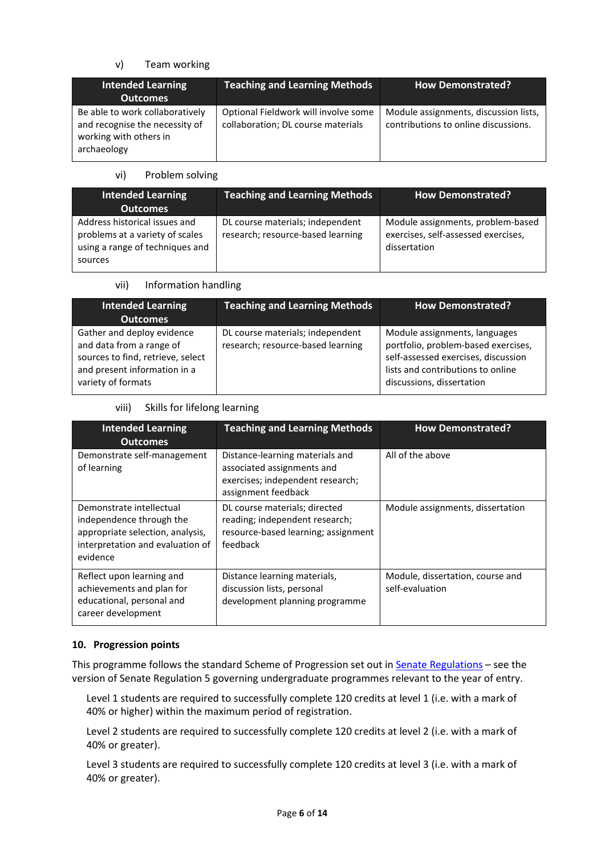### v) Team working

| <b>Intended Learning</b><br><b>Outcomes</b>                                                                | Teaching and Learning Methods                                              | <b>How Demonstrated?</b>                                                      |
|------------------------------------------------------------------------------------------------------------|----------------------------------------------------------------------------|-------------------------------------------------------------------------------|
| Be able to work collaboratively<br>and recognise the necessity of<br>working with others in<br>archaeology | Optional Fieldwork will involve some<br>collaboration; DL course materials | Module assignments, discussion lists,<br>contributions to online discussions. |

#### vi) Problem solving

| <b>Intended Learning</b><br><b>Outcomes</b>                                                                    | <b>Teaching and Learning Methods</b>                                  | <b>How Demonstrated?</b>                                                                 |
|----------------------------------------------------------------------------------------------------------------|-----------------------------------------------------------------------|------------------------------------------------------------------------------------------|
| Address historical issues and<br>problems at a variety of scales<br>using a range of techniques and<br>sources | DL course materials; independent<br>research; resource-based learning | Module assignments, problem-based<br>exercises, self-assessed exercises,<br>dissertation |

#### vii) Information handling

| <b>Intended Learning</b><br><b>Outcomes</b>                                                                                                       | <b>Teaching and Learning Methods</b>                                  | <b>How Demonstrated?</b>                                                                                                                                                      |
|---------------------------------------------------------------------------------------------------------------------------------------------------|-----------------------------------------------------------------------|-------------------------------------------------------------------------------------------------------------------------------------------------------------------------------|
| Gather and deploy evidence<br>and data from a range of<br>sources to find, retrieve, select<br>and present information in a<br>variety of formats | DL course materials; independent<br>research; resource-based learning | Module assignments, languages<br>portfolio, problem-based exercises,<br>self-assessed exercises, discussion<br>lists and contributions to online<br>discussions, dissertation |

#### viii) Skills for lifelong learning

| <b>Intended Learning</b><br><b>Outcomes</b>                                                                                              | <b>Teaching and Learning Methods</b>                                                                                     | <b>How Demonstrated?</b>                            |
|------------------------------------------------------------------------------------------------------------------------------------------|--------------------------------------------------------------------------------------------------------------------------|-----------------------------------------------------|
| Demonstrate self-management<br>of learning                                                                                               | Distance-learning materials and<br>associated assignments and<br>exercises; independent research;<br>assignment feedback | All of the above                                    |
| Demonstrate intellectual<br>independence through the<br>appropriate selection, analysis,<br>interpretation and evaluation of<br>evidence | DL course materials; directed<br>reading; independent research;<br>resource-based learning; assignment<br>feedback       | Module assignments, dissertation                    |
| Reflect upon learning and<br>achievements and plan for<br>educational, personal and<br>career development                                | Distance learning materials,<br>discussion lists, personal<br>development planning programme                             | Module, dissertation, course and<br>self-evaluation |

### **10. Progression points**

This programme follows the standard Scheme of Progression set out in **Senate Regulations** - see the version of Senate Regulation 5 governing undergraduate programmes relevant to the year of entry.

Level 1 students are required to successfully complete 120 credits at level 1 (i.e. with a mark of 40% or higher) within the maximum period of registration.

Level 2 students are required to successfully complete 120 credits at level 2 (i.e. with a mark of 40% or greater).

Level 3 students are required to successfully complete 120 credits at level 3 (i.e. with a mark of 40% or greater).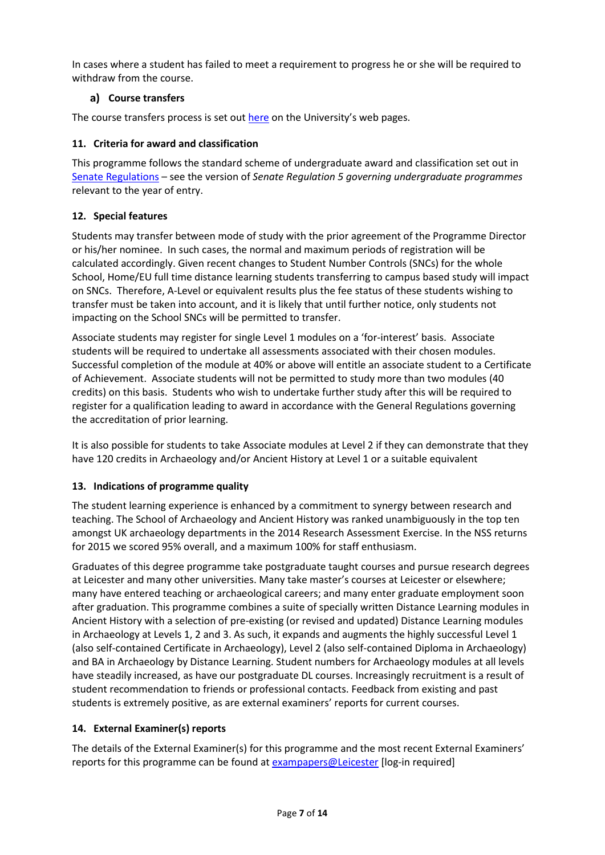In cases where a student has failed to meet a requirement to progress he or she will be required to withdraw from the course.

## **Course transfers**

The course transfers process is set out [here](https://www2.le.ac.uk/offices/sas2/courses/transfercourse) on the University's web pages.

## **11. Criteria for award and classification**

This programme follows the standard scheme of undergraduate award and classification set out in [Senate Regulations](http://www.le.ac.uk/senate-regulations) – see the version of *Senate Regulation 5 governing undergraduate programmes* relevant to the year of entry.

## **12. Special features**

Students may transfer between mode of study with the prior agreement of the Programme Director or his/her nominee. In such cases, the normal and maximum periods of registration will be calculated accordingly. Given recent changes to Student Number Controls (SNCs) for the whole School, Home/EU full time distance learning students transferring to campus based study will impact on SNCs. Therefore, A-Level or equivalent results plus the fee status of these students wishing to transfer must be taken into account, and it is likely that until further notice, only students not impacting on the School SNCs will be permitted to transfer.

Associate students may register for single Level 1 modules on a 'for-interest' basis. Associate students will be required to undertake all assessments associated with their chosen modules. Successful completion of the module at 40% or above will entitle an associate student to a Certificate of Achievement. Associate students will not be permitted to study more than two modules (40 credits) on this basis. Students who wish to undertake further study after this will be required to register for a qualification leading to award in accordance with the General Regulations governing the accreditation of prior learning.

It is also possible for students to take Associate modules at Level 2 if they can demonstrate that they have 120 credits in Archaeology and/or Ancient History at Level 1 or a suitable equivalent

# **13. Indications of programme quality**

The student learning experience is enhanced by a commitment to synergy between research and teaching. The School of Archaeology and Ancient History was ranked unambiguously in the top ten amongst UK archaeology departments in the 2014 Research Assessment Exercise. In the NSS returns for 2015 we scored 95% overall, and a maximum 100% for staff enthusiasm.

Graduates of this degree programme take postgraduate taught courses and pursue research degrees at Leicester and many other universities. Many take master's courses at Leicester or elsewhere; many have entered teaching or archaeological careers; and many enter graduate employment soon after graduation. This programme combines a suite of specially written Distance Learning modules in Ancient History with a selection of pre-existing (or revised and updated) Distance Learning modules in Archaeology at Levels 1, 2 and 3. As such, it expands and augments the highly successful Level 1 (also self-contained Certificate in Archaeology), Level 2 (also self-contained Diploma in Archaeology) and BA in Archaeology by Distance Learning. Student numbers for Archaeology modules at all levels have steadily increased, as have our postgraduate DL courses. Increasingly recruitment is a result of student recommendation to friends or professional contacts. Feedback from existing and past students is extremely positive, as are external examiners' reports for current courses.

### **14. External Examiner(s) reports**

The details of the External Examiner(s) for this programme and the most recent External Examiners' reports for this programme can be found at [exampapers@Leicester](https://exampapers.le.ac.uk/) [log-in required]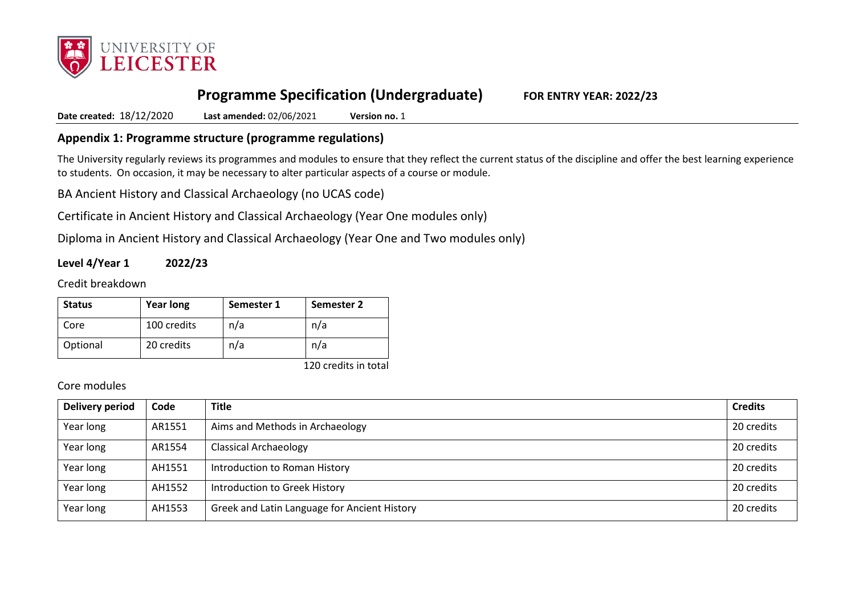

# **Programme Specification (Undergraduate) FOR ENTRY YEAR: 2022/23**

**Date created:** 18/12/2020 **Last amended:** 02/06/2021 **Version no.** 1

# **Appendix 1: Programme structure (programme regulations)**

The University regularly reviews its programmes and modules to ensure that they reflect the current status of the discipline and offer the best learning experience to students. On occasion, it may be necessary to alter particular aspects of a course or module.

BA Ancient History and Classical Archaeology (no UCAS code)

Certificate in Ancient History and Classical Archaeology (Year One modules only)

Diploma in Ancient History and Classical Archaeology (Year One and Two modules only)

**Level 4/Year 1 2022/23**

Credit breakdown

| <b>Status</b> | <b>Year long</b> | Semester 1 | Semester 2           |
|---------------|------------------|------------|----------------------|
| Core          | 100 credits      | n/a        | n/a                  |
| Optional      | 20 credits       | n/a        | n/a                  |
|               |                  |            | 120 credits in total |

Core modules

| Delivery period | Code   | <b>Title</b>                                 | <b>Credits</b> |
|-----------------|--------|----------------------------------------------|----------------|
| Year long       | AR1551 | Aims and Methods in Archaeology              | 20 credits     |
| Year long       | AR1554 | <b>Classical Archaeology</b>                 | 20 credits     |
| Year long       | AH1551 | Introduction to Roman History                | 20 credits     |
| Year long       | AH1552 | Introduction to Greek History                | 20 credits     |
| Year long       | AH1553 | Greek and Latin Language for Ancient History | 20 credits     |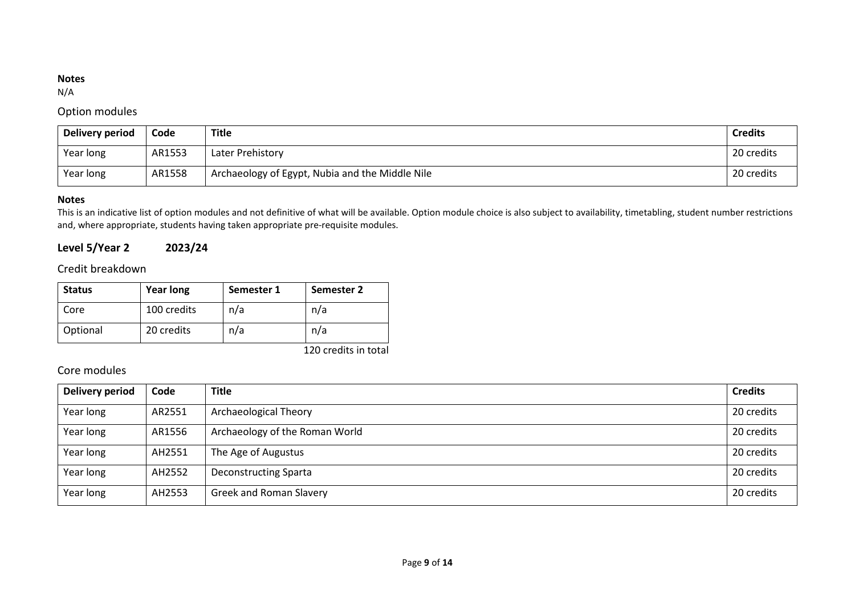#### **Notes**

N/A

# Option modules

| Delivery period | Code   | <b>Title</b>                                    | <b>Credits</b> |
|-----------------|--------|-------------------------------------------------|----------------|
| Year long       | AR1553 | Later Prehistory                                | 20 credits     |
| Year long       | AR1558 | Archaeology of Egypt, Nubia and the Middle Nile | 20 credits     |

## **Notes**

This is an indicative list of option modules and not definitive of what will be available. Option module choice is also subject to availability, timetabling, student number restrictions and, where appropriate, students having taken appropriate pre-requisite modules.

**Level 5/Year 2 2023/24**

# Credit breakdown

| <b>Status</b> | <b>Year long</b> | Semester 1 | Semester 2 |
|---------------|------------------|------------|------------|
| Core          | 100 credits      | n/a        | n/a        |
| Optional      | 20 credits       | n/a        | n/a        |

120 credits in total

# Core modules

| Delivery period | Code   | <b>Title</b>                   | <b>Credits</b> |
|-----------------|--------|--------------------------------|----------------|
| Year long       | AR2551 | Archaeological Theory          | 20 credits     |
| Year long       | AR1556 | Archaeology of the Roman World | 20 credits     |
| Year long       | AH2551 | The Age of Augustus            | 20 credits     |
| Year long       | AH2552 | <b>Deconstructing Sparta</b>   | 20 credits     |
| Year long       | AH2553 | <b>Greek and Roman Slavery</b> | 20 credits     |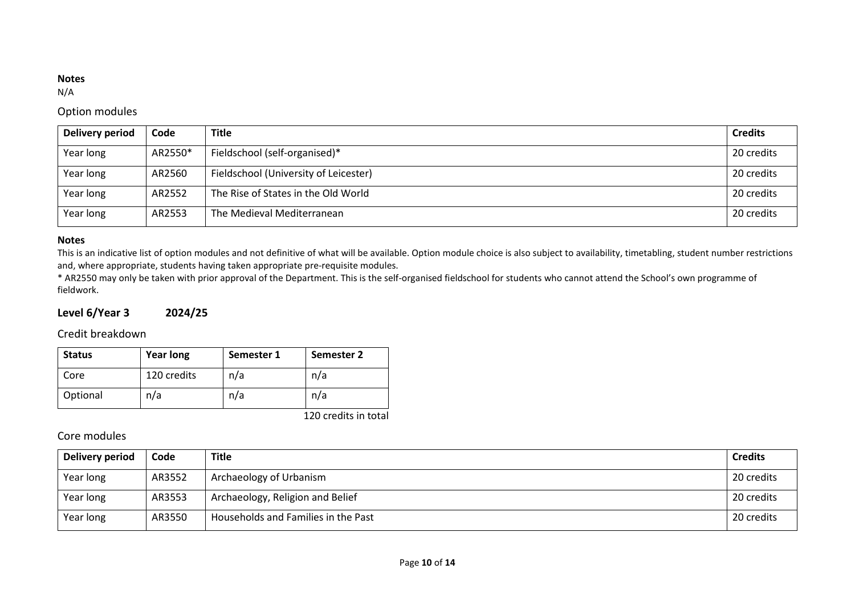#### **Notes**

N/A

# Option modules

| Delivery period | Code    | <b>Title</b>                          | <b>Credits</b> |
|-----------------|---------|---------------------------------------|----------------|
| Year long       | AR2550* | Fieldschool (self-organised)*         | 20 credits     |
| Year long       | AR2560  | Fieldschool (University of Leicester) | 20 credits     |
| Year long       | AR2552  | The Rise of States in the Old World   | 20 credits     |
| Year long       | AR2553  | The Medieval Mediterranean            | 20 credits     |

#### **Notes**

This is an indicative list of option modules and not definitive of what will be available. Option module choice is also subject to availability, timetabling, student number restrictions and, where appropriate, students having taken appropriate pre-requisite modules.

\* AR2550 may only be taken with prior approval of the Department. This is the self-organised fieldschool for students who cannot attend the School's own programme of fieldwork.

# **Level 6/Year 3 2024/25**

Credit breakdown

| <b>Status</b> | <b>Year long</b> | Semester 1 | Semester 2 |
|---------------|------------------|------------|------------|
| Core          | 120 credits      | n/a        | n/a        |
| Optional      | n/a              | n/a        | n/a        |

120 credits in total

# Core modules

| Delivery period | Code   | Title                               | <b>Credits</b> |
|-----------------|--------|-------------------------------------|----------------|
| Year long       | AR3552 | Archaeology of Urbanism             | 20 credits     |
| Year long       | AR3553 | Archaeology, Religion and Belief    | 20 credits     |
| Year long       | AR3550 | Households and Families in the Past | 20 credits     |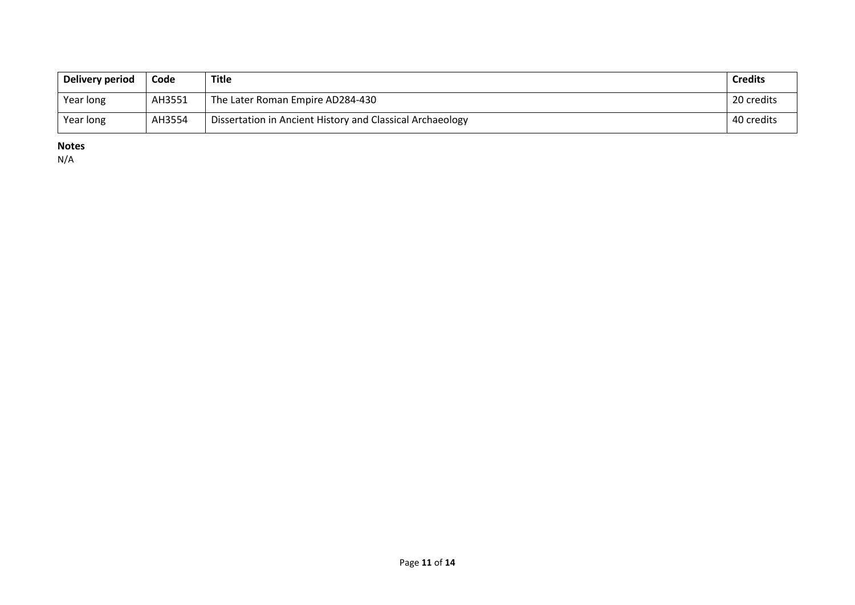| Delivery period | Code   | <b>Title</b>                                              | <b>Credits</b> |
|-----------------|--------|-----------------------------------------------------------|----------------|
| Year long       | AH3551 | The Later Roman Empire AD284-430                          | 20 credits     |
| Year long       | AH3554 | Dissertation in Ancient History and Classical Archaeology | 40 credits     |

**Notes**

N/A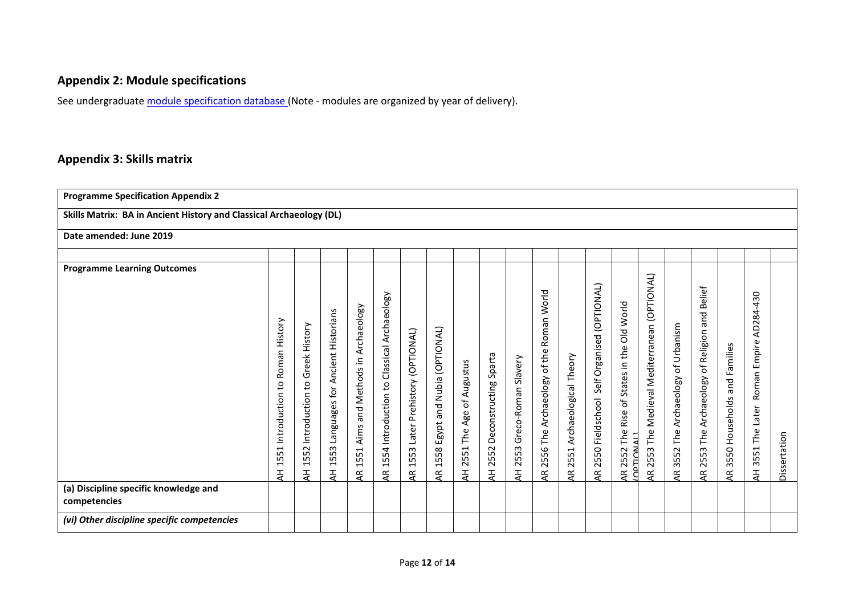# **Appendix 2: Module specifications**

See undergraduat[e module specification database](http://www.le.ac.uk/sas/courses/documentation) (Note - modules are organized by year of delivery).

# **Appendix 3: Skills matrix**

| <b>Programme Specification Appendix 2</b>                                   |                                         |                                                                   |                                                                      |                                                 |                                                                                                |                                          |                                         |                                                                   |                                           |                                  |                                                              |                                    |                                                       |                                                                             |                                                                    |                                                              |                                                                              |                                                         |                                                           |              |
|-----------------------------------------------------------------------------|-----------------------------------------|-------------------------------------------------------------------|----------------------------------------------------------------------|-------------------------------------------------|------------------------------------------------------------------------------------------------|------------------------------------------|-----------------------------------------|-------------------------------------------------------------------|-------------------------------------------|----------------------------------|--------------------------------------------------------------|------------------------------------|-------------------------------------------------------|-----------------------------------------------------------------------------|--------------------------------------------------------------------|--------------------------------------------------------------|------------------------------------------------------------------------------|---------------------------------------------------------|-----------------------------------------------------------|--------------|
| Skills Matrix: BA in Ancient History and Classical Archaeology (DL)         |                                         |                                                                   |                                                                      |                                                 |                                                                                                |                                          |                                         |                                                                   |                                           |                                  |                                                              |                                    |                                                       |                                                                             |                                                                    |                                                              |                                                                              |                                                         |                                                           |              |
| Date amended: June 2019                                                     |                                         |                                                                   |                                                                      |                                                 |                                                                                                |                                          |                                         |                                                                   |                                           |                                  |                                                              |                                    |                                                       |                                                                             |                                                                    |                                                              |                                                                              |                                                         |                                                           |              |
|                                                                             |                                         |                                                                   |                                                                      |                                                 |                                                                                                |                                          |                                         |                                                                   |                                           |                                  |                                                              |                                    |                                                       |                                                                             |                                                                    |                                                              |                                                                              |                                                         |                                                           |              |
| <b>Programme Learning Outcomes</b><br>(a) Discipline specific knowledge and | 1551 Introduction to Roman History<br>놓 | Greek History<br>S,<br>Introduction<br>52<br>$\overline{15}$<br>₹ | Ancient Historians<br>for<br>Languages<br>53<br>$\overline{15}$<br>¥ | Archaeology<br>Aims and Methods in<br>1551<br>£ | Classical Archaeology<br>Introduction to<br>554<br>$\overline{\phantom{0}}$<br>$\overline{AB}$ | Later Prehistory (OPTIONAL)<br>1553<br>Æ | Egypt and Nubia (OPTIONAL)<br>1558<br>Æ | of Augustus<br>Age<br>The<br>51<br>25<br>$\overline{\mathcal{A}}$ | Sparta<br>Deconstructing<br>52<br>25<br>₹ | Greco-Roman Slavery<br>2553<br>¥ | World<br>Roman<br>of the<br>Archaeology<br>The.<br>2556<br>Æ | Archaeological Theory<br>2551<br>Æ | Self Organised (OPTIONAL)<br>Fieldschool<br>2550<br>Æ | Did World<br>States in the<br>Ⴆ<br>Rise<br>The<br>AR 2552 The<br>COPTIONALL | (OPTIONAL)<br>Medieval Mediterranean<br>The<br>ო<br>ĹŐ,<br>25<br>E | of Urbanism<br>Archaeology<br>The.<br>3552<br>$\overline{4}$ | <b>Belief</b><br>and<br>Religion<br>đ<br>Archaeology<br>The<br>53<br>25<br>Æ | Families<br>and<br>Households<br>3550<br>$\overline{4}$ | AD284-430<br>Empire<br>Roman<br>Later<br>The<br>3551<br>₹ | Dissertation |
| competencies                                                                |                                         |                                                                   |                                                                      |                                                 |                                                                                                |                                          |                                         |                                                                   |                                           |                                  |                                                              |                                    |                                                       |                                                                             |                                                                    |                                                              |                                                                              |                                                         |                                                           |              |
| (vi) Other discipline specific competencies                                 |                                         |                                                                   |                                                                      |                                                 |                                                                                                |                                          |                                         |                                                                   |                                           |                                  |                                                              |                                    |                                                       |                                                                             |                                                                    |                                                              |                                                                              |                                                         |                                                           |              |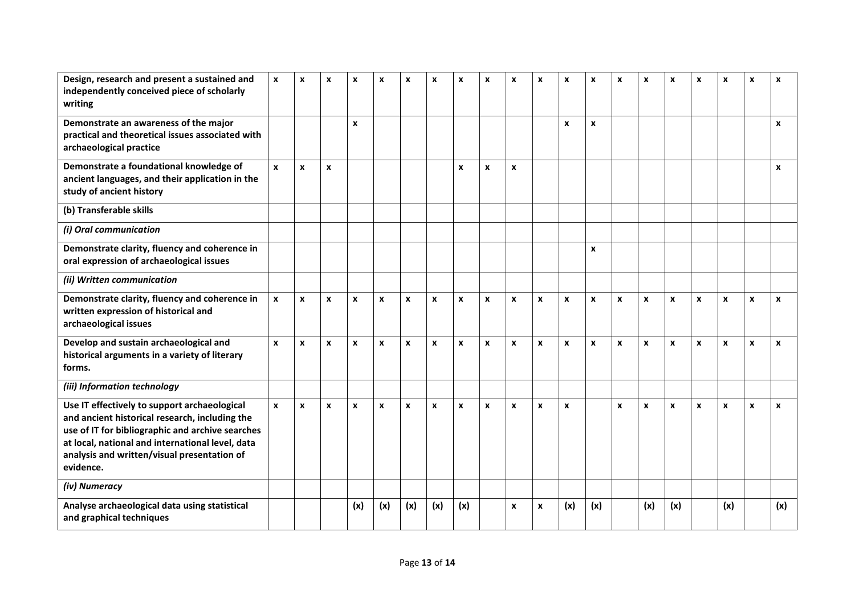| Design, research and present a sustained and<br>independently conceived piece of scholarly<br>writing                                                                                                                                                              | X                  | X            | x | X                  | X                  | X   | $\boldsymbol{\mathsf{x}}$ | X                | X                  | X                  | X                  | X                | X                  | X                  | X                | X                | X                | X                | X                  | X                |
|--------------------------------------------------------------------------------------------------------------------------------------------------------------------------------------------------------------------------------------------------------------------|--------------------|--------------|---|--------------------|--------------------|-----|---------------------------|------------------|--------------------|--------------------|--------------------|------------------|--------------------|--------------------|------------------|------------------|------------------|------------------|--------------------|------------------|
| Demonstrate an awareness of the major<br>practical and theoretical issues associated with<br>archaeological practice                                                                                                                                               |                    |              |   | $\pmb{\chi}$       |                    |     |                           |                  |                    |                    |                    | X                | $\pmb{\times}$     |                    |                  |                  |                  |                  |                    | $\boldsymbol{x}$ |
| Demonstrate a foundational knowledge of<br>ancient languages, and their application in the<br>study of ancient history                                                                                                                                             | $\mathbf{x}$       | $\mathbf{x}$ | X |                    |                    |     |                           | $\boldsymbol{x}$ | $\boldsymbol{x}$   | X                  |                    |                  |                    |                    |                  |                  |                  |                  |                    | $\boldsymbol{x}$ |
| (b) Transferable skills                                                                                                                                                                                                                                            |                    |              |   |                    |                    |     |                           |                  |                    |                    |                    |                  |                    |                    |                  |                  |                  |                  |                    |                  |
| (i) Oral communication                                                                                                                                                                                                                                             |                    |              |   |                    |                    |     |                           |                  |                    |                    |                    |                  |                    |                    |                  |                  |                  |                  |                    |                  |
| Demonstrate clarity, fluency and coherence in<br>oral expression of archaeological issues                                                                                                                                                                          |                    |              |   |                    |                    |     |                           |                  |                    |                    |                    |                  | $\pmb{\mathsf{x}}$ |                    |                  |                  |                  |                  |                    |                  |
| (ii) Written communication                                                                                                                                                                                                                                         |                    |              |   |                    |                    |     |                           |                  |                    |                    |                    |                  |                    |                    |                  |                  |                  |                  |                    |                  |
| Demonstrate clarity, fluency and coherence in<br>written expression of historical and<br>archaeological issues                                                                                                                                                     | $\pmb{\mathsf{x}}$ | $\mathbf{x}$ | X | $\pmb{\chi}$       | $\pmb{\mathsf{x}}$ | X   | $\boldsymbol{x}$          | $\pmb{\chi}$     | $\boldsymbol{x}$   | $\pmb{\chi}$       | $\boldsymbol{x}$   | $\boldsymbol{x}$ | $\pmb{\chi}$       | $\boldsymbol{x}$   | $\boldsymbol{x}$ | $\boldsymbol{x}$ | $\boldsymbol{x}$ | $\boldsymbol{x}$ | $\pmb{\chi}$       | $\boldsymbol{x}$ |
| Develop and sustain archaeological and<br>historical arguments in a variety of literary<br>forms.                                                                                                                                                                  | $\mathbf{x}$       | $\mathbf{x}$ | X | $\pmb{\mathsf{x}}$ | $\boldsymbol{x}$   | x   | $\pmb{\mathsf{x}}$        | $\mathbf{x}$     | $\boldsymbol{x}$   | $\pmb{\mathsf{x}}$ | $\pmb{\mathsf{x}}$ | $\boldsymbol{x}$ | $\pmb{\mathsf{x}}$ | $\boldsymbol{x}$   | $\boldsymbol{x}$ | $\pmb{\chi}$     | $\boldsymbol{x}$ | $\boldsymbol{x}$ | $\pmb{\mathsf{x}}$ | $\boldsymbol{x}$ |
| (iii) Information technology                                                                                                                                                                                                                                       |                    |              |   |                    |                    |     |                           |                  |                    |                    |                    |                  |                    |                    |                  |                  |                  |                  |                    |                  |
| Use IT effectively to support archaeological<br>and ancient historical research, including the<br>use of IT for bibliographic and archive searches<br>at local, national and international level, data<br>analysis and written/visual presentation of<br>evidence. | $\pmb{\mathsf{x}}$ | $\mathbf{x}$ | X | $\pmb{\chi}$       | $\pmb{\chi}$       | X   | $\pmb{\chi}$              | $\pmb{\chi}$     | $\pmb{\mathsf{x}}$ | $\pmb{\chi}$       | $\pmb{\mathsf{x}}$ | $\pmb{\times}$   |                    | $\pmb{\mathsf{x}}$ | $\pmb{\times}$   | $\pmb{\chi}$     | $\pmb{\chi}$     | $\pmb{\chi}$     | $\pmb{\chi}$       | $\boldsymbol{x}$ |
| (iv) Numeracy                                                                                                                                                                                                                                                      |                    |              |   |                    |                    |     |                           |                  |                    |                    |                    |                  |                    |                    |                  |                  |                  |                  |                    |                  |
| Analyse archaeological data using statistical<br>and graphical techniques                                                                                                                                                                                          |                    |              |   | (x)                | (x)                | (x) | (x)                       | (x)              |                    | X                  | $\boldsymbol{x}$   | (x)              | (x)                |                    | (x)              | (x)              |                  | (x)              |                    | (x)              |